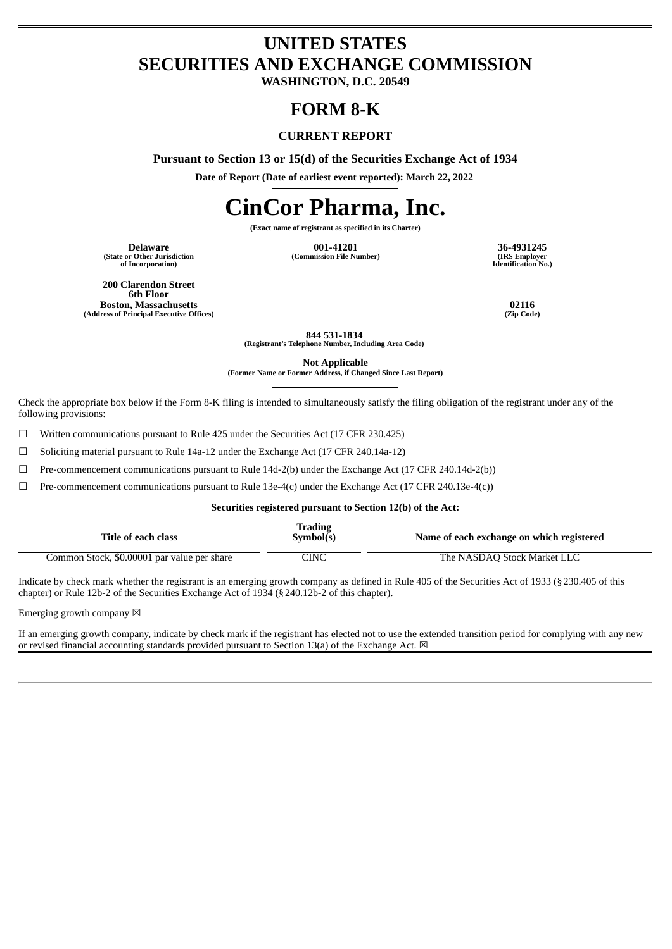## **UNITED STATES SECURITIES AND EXCHANGE COMMISSION**

**WASHINGTON, D.C. 20549**

## **FORM 8-K**

#### **CURRENT REPORT**

**Pursuant to Section 13 or 15(d) of the Securities Exchange Act of 1934**

**Date of Report (Date of earliest event reported): March 22, 2022**

# **CinCor Pharma, Inc.**

**(Exact name of registrant as specified in its Charter)**

**(State or Other Jurisdiction of Incorporation)**

**Delaware 001-41201 36-4931245 (Commission File Number)** 

**Identification No.)**

**200 Clarendon Street 6th Floor Boston, Massachusetts 02116 (Address of Principal Executive Offices)** 

**844 531-1834 (Registrant's Telephone Number, Including Area Code)**

**Not Applicable**

**(Former Name or Former Address, if Changed Since Last Report)**

Check the appropriate box below if the Form 8-K filing is intended to simultaneously satisfy the filing obligation of the registrant under any of the following provisions:

☐ Written communications pursuant to Rule 425 under the Securities Act (17 CFR 230.425)

 $\Box$  Soliciting material pursuant to Rule 14a-12 under the Exchange Act (17 CFR 240.14a-12)

 $\Box$  Pre-commencement communications pursuant to Rule 14d-2(b) under the Exchange Act (17 CFR 240.14d-2(b))

 $\Box$  Pre-commencement communications pursuant to Rule 13e-4(c) under the Exchange Act (17 CFR 240.13e-4(c))

#### **Securities registered pursuant to Section 12(b) of the Act:**

| Title of each class                         | <b>Trading</b><br>Symbol(s) | Name of each exchange on which registered |
|---------------------------------------------|-----------------------------|-------------------------------------------|
| Common Stock, \$0.00001 par value per share | CINC.                       | The NASDAQ Stock Market LLC               |

Indicate by check mark whether the registrant is an emerging growth company as defined in Rule 405 of the Securities Act of 1933 (§230.405 of this chapter) or Rule 12b-2 of the Securities Exchange Act of 1934 (§240.12b-2 of this chapter).

Emerging growth company  $\boxtimes$ 

If an emerging growth company, indicate by check mark if the registrant has elected not to use the extended transition period for complying with any new or revised financial accounting standards provided pursuant to Section 13(a) of the Exchange Act.  $\boxtimes$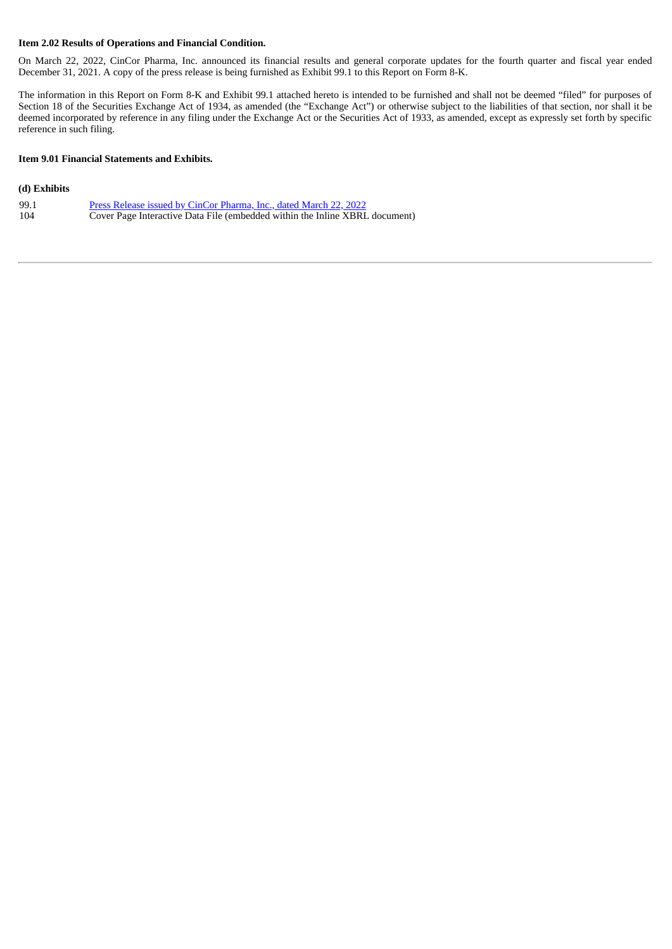#### **Item 2.02 Results of Operations and Financial Condition.**

On March 22, 2022, CinCor Pharma, Inc. announced its financial results and general corporate updates for the fourth quarter and fiscal year ended December 31, 2021. A copy of the press release is being furnished as Exhibit 99.1 to this Report on Form 8-K.

The information in this Report on Form 8-K and Exhibit 99.1 attached hereto is intended to be furnished and shall not be deemed "filed" for purposes of Section 18 of the Securities Exchange Act of 1934, as amended (the "Exchange Act") or otherwise subject to the liabilities of that section, nor shall it be deemed incorporated by reference in any filing under the Exchange Act or the Securities Act of 1933, as amended, except as expressly set forth by specific reference in such filing.

#### **Item 9.01 Financial Statements and Exhibits.**

#### **(d) Exhibits**

| 99.1 | Press Release issued by CinCor Pharma, Inc., dated March 22, 2022           |
|------|-----------------------------------------------------------------------------|
| 104  | Cover Page Interactive Data File (embedded within the Inline XBRL document) |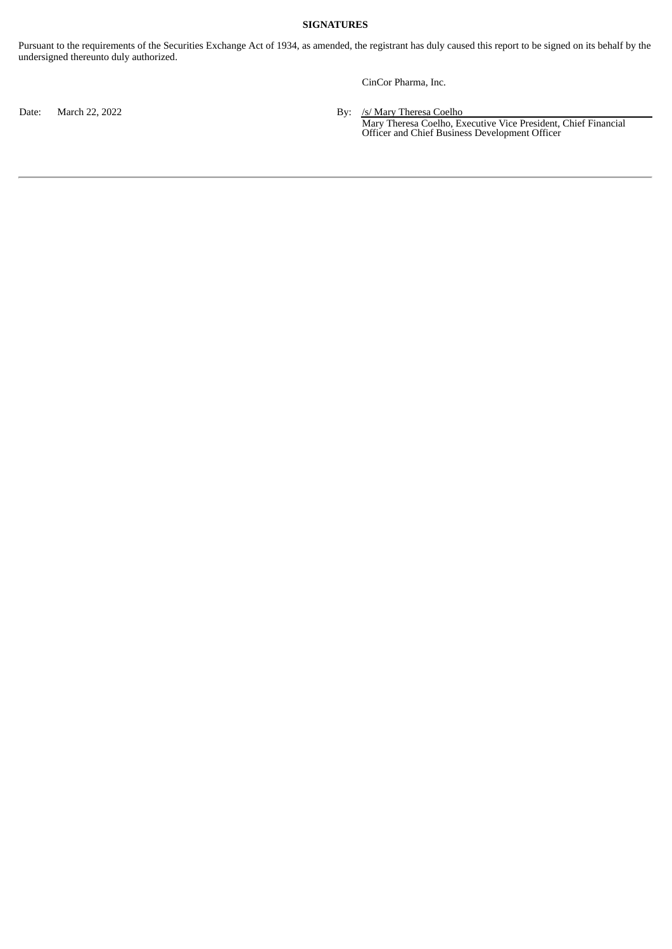#### **SIGNATURES**

Pursuant to the requirements of the Securities Exchange Act of 1934, as amended, the registrant has duly caused this report to be signed on its behalf by the undersigned thereunto duly authorized.

CinCor Pharma, Inc.

Date: March 22, 2022 **By:** /s/ Mary Theresa Coelho

Mary Theresa Coelho, Executive Vice President, Chief Financial Officer and Chief Business Development Officer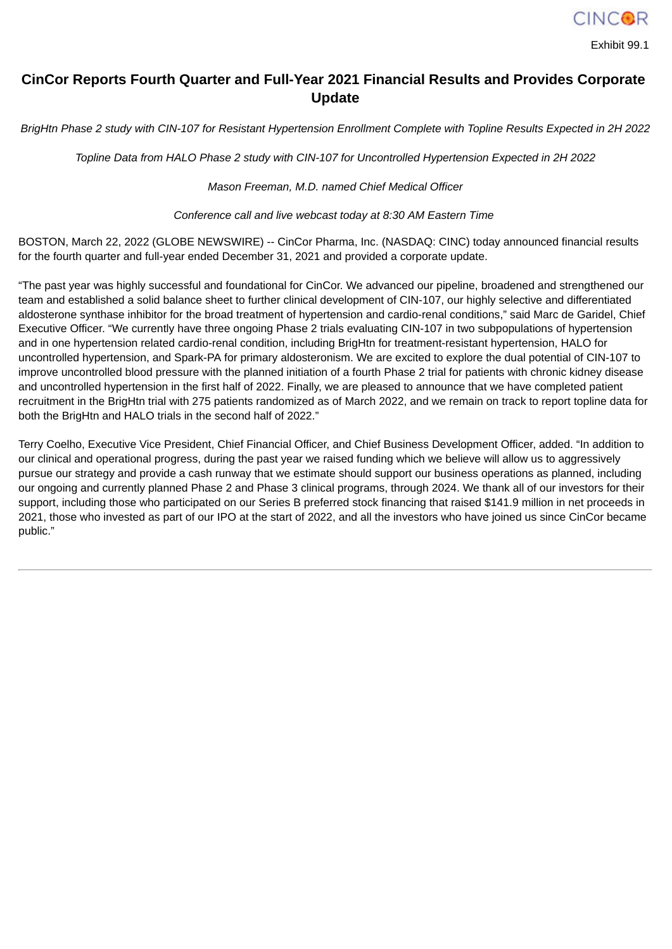

Exhibit 99.1

### <span id="page-3-0"></span>**CinCor Reports Fourth Quarter and Full-Year 2021 Financial Results and Provides Corporate Update**

BrigHtn Phase 2 study with CIN-107 for Resistant Hypertension Enrollment Complete with Topline Results Expected in 2H 2022

*Topline Data from HALO Phase 2 study with CIN-107 for Uncontrolled Hypertension Expected in 2H 2022*

*Mason Freeman, M.D. named Chief Medical Officer*

*Conference call and live webcast today at 8:30 AM Eastern Time*

BOSTON, March 22, 2022 (GLOBE NEWSWIRE) -- CinCor Pharma, Inc. (NASDAQ: CINC) today announced financial results for the fourth quarter and full-year ended December 31, 2021 and provided a corporate update.

"The past year was highly successful and foundational for CinCor. We advanced our pipeline, broadened and strengthened our team and established a solid balance sheet to further clinical development of CIN-107, our highly selective and differentiated aldosterone synthase inhibitor for the broad treatment of hypertension and cardio-renal conditions," said Marc de Garidel, Chief Executive Officer. "We currently have three ongoing Phase 2 trials evaluating CIN-107 in two subpopulations of hypertension and in one hypertension related cardio-renal condition, including BrigHtn for treatment-resistant hypertension, HALO for uncontrolled hypertension, and Spark-PA for primary aldosteronism. We are excited to explore the dual potential of CIN-107 to improve uncontrolled blood pressure with the planned initiation of a fourth Phase 2 trial for patients with chronic kidney disease and uncontrolled hypertension in the first half of 2022. Finally, we are pleased to announce that we have completed patient recruitment in the BrigHtn trial with 275 patients randomized as of March 2022, and we remain on track to report topline data for both the BrigHtn and HALO trials in the second half of 2022."

Terry Coelho, Executive Vice President, Chief Financial Officer, and Chief Business Development Officer, added. "In addition to our clinical and operational progress, during the past year we raised funding which we believe will allow us to aggressively pursue our strategy and provide a cash runway that we estimate should support our business operations as planned, including our ongoing and currently planned Phase 2 and Phase 3 clinical programs, through 2024. We thank all of our investors for their support, including those who participated on our Series B preferred stock financing that raised \$141.9 million in net proceeds in 2021, those who invested as part of our IPO at the start of 2022, and all the investors who have joined us since CinCor became public."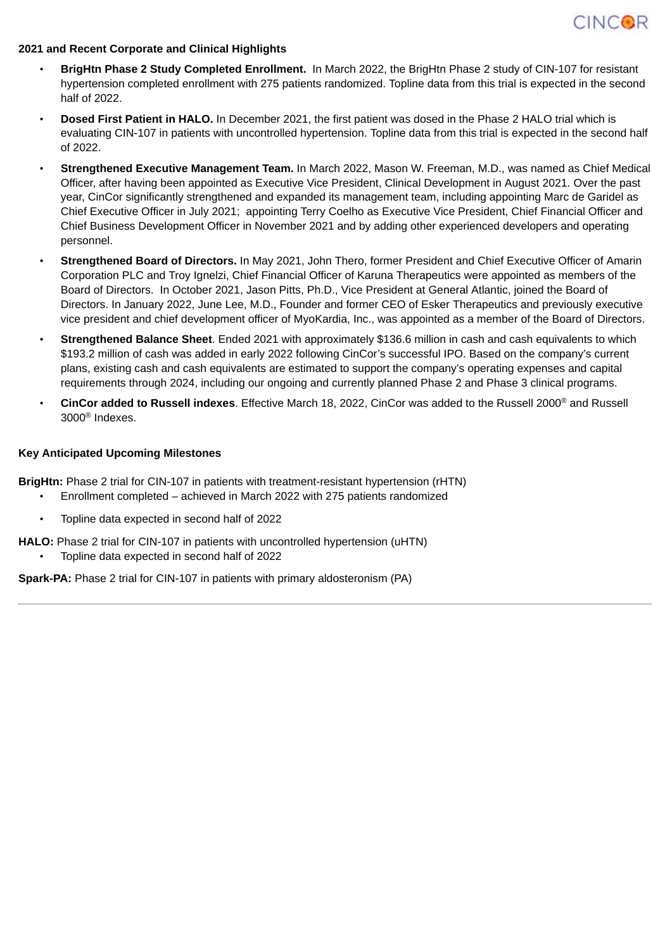

#### **2021 and Recent Corporate and Clinical Highlights**

- **BrigHtn Phase 2 Study Completed Enrollment.** In March 2022, the BrigHtn Phase 2 study of CIN-107 for resistant hypertension completed enrollment with 275 patients randomized. Topline data from this trial is expected in the second half of 2022.
- **Dosed First Patient in HALO.** In December 2021, the first patient was dosed in the Phase 2 HALO trial which is evaluating CIN-107 in patients with uncontrolled hypertension. Topline data from this trial is expected in the second half of 2022.
- **Strengthened Executive Management Team.** In March 2022, Mason W. Freeman, M.D., was named as Chief Medical Officer, after having been appointed as Executive Vice President, Clinical Development in August 2021. Over the past year, CinCor significantly strengthened and expanded its management team, including appointing Marc de Garidel as Chief Executive Officer in July 2021; appointing Terry Coelho as Executive Vice President, Chief Financial Officer and Chief Business Development Officer in November 2021 and by adding other experienced developers and operating personnel.
- **Strengthened Board of Directors.** In May 2021, John Thero, former President and Chief Executive Officer of Amarin Corporation PLC and Troy Ignelzi, Chief Financial Officer of Karuna Therapeutics were appointed as members of the Board of Directors. In October 2021, Jason Pitts, Ph.D., Vice President at General Atlantic, joined the Board of Directors. In January 2022, June Lee, M.D., Founder and former CEO of Esker Therapeutics and previously executive vice president and chief development officer of MyoKardia, Inc., was appointed as a member of the Board of Directors.
- **Strengthened Balance Sheet**. Ended 2021 with approximately \$136.6 million in cash and cash equivalents to which \$193.2 million of cash was added in early 2022 following CinCor's successful IPO. Based on the company's current plans, existing cash and cash equivalents are estimated to support the company's operating expenses and capital requirements through 2024, including our ongoing and currently planned Phase 2 and Phase 3 clinical programs.
- **CinCor added to Russell indexes**. Effective March 18, 2022, CinCor was added to the Russell 2000 ® and Russell 3000 ® Indexes.

#### **Key Anticipated Upcoming Milestones**

**BrigHtn:** Phase 2 trial for CIN-107 in patients with treatment-resistant hypertension (rHTN)

- Enrollment completed achieved in March 2022 with 275 patients randomized
- Topline data expected in second half of 2022

**HALO:** Phase 2 trial for CIN-107 in patients with uncontrolled hypertension (uHTN)

• Topline data expected in second half of 2022

**Spark-PA:** Phase 2 trial for CIN-107 in patients with primary aldosteronism (PA)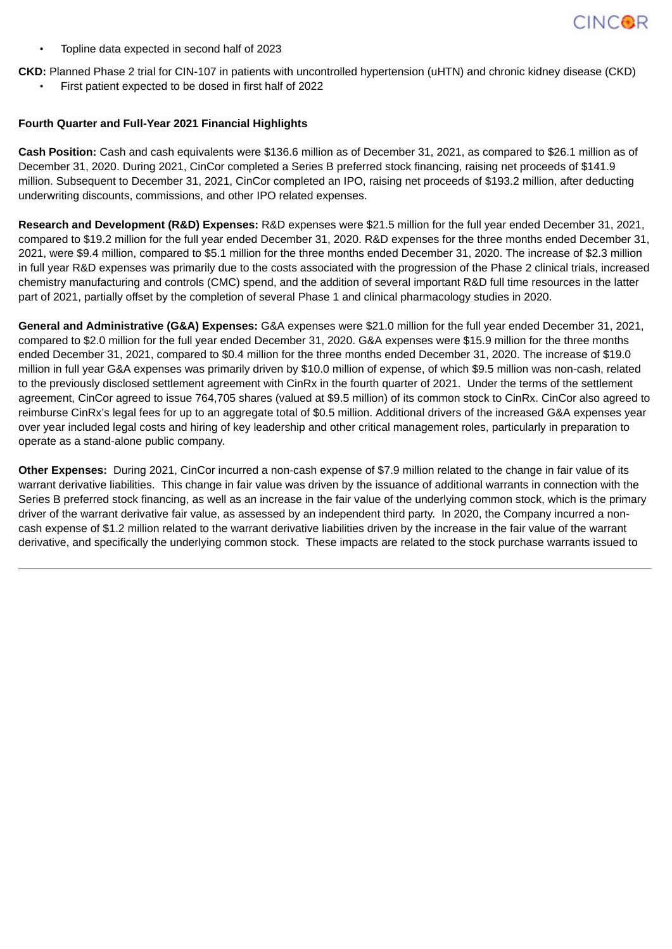

• Topline data expected in second half of 2023

**CKD:** Planned Phase 2 trial for CIN-107 in patients with uncontrolled hypertension (uHTN) and chronic kidney disease (CKD)

• First patient expected to be dosed in first half of 2022

#### **Fourth Quarter and Full-Year 2021 Financial Highlights**

**Cash Position:** Cash and cash equivalents were \$136.6 million as of December 31, 2021, as compared to \$26.1 million as of December 31, 2020. During 2021, CinCor completed a Series B preferred stock financing, raising net proceeds of \$141.9 million. Subsequent to December 31, 2021, CinCor completed an IPO, raising net proceeds of \$193.2 million, after deducting underwriting discounts, commissions, and other IPO related expenses.

**Research and Development (R&D) Expenses:** R&D expenses were \$21.5 million for the full year ended December 31, 2021, compared to \$19.2 million for the full year ended December 31, 2020. R&D expenses for the three months ended December 31, 2021, were \$9.4 million, compared to \$5.1 million for the three months ended December 31, 2020. The increase of \$2.3 million in full year R&D expenses was primarily due to the costs associated with the progression of the Phase 2 clinical trials, increased chemistry manufacturing and controls (CMC) spend, and the addition of several important R&D full time resources in the latter part of 2021, partially offset by the completion of several Phase 1 and clinical pharmacology studies in 2020.

**General and Administrative (G&A) Expenses:** G&A expenses were \$21.0 million for the full year ended December 31, 2021, compared to \$2.0 million for the full year ended December 31, 2020. G&A expenses were \$15.9 million for the three months ended December 31, 2021, compared to \$0.4 million for the three months ended December 31, 2020. The increase of \$19.0 million in full year G&A expenses was primarily driven by \$10.0 million of expense, of which \$9.5 million was non-cash, related to the previously disclosed settlement agreement with CinRx in the fourth quarter of 2021. Under the terms of the settlement agreement, CinCor agreed to issue 764,705 shares (valued at \$9.5 million) of its common stock to CinRx. CinCor also agreed to reimburse CinRx's legal fees for up to an aggregate total of \$0.5 million. Additional drivers of the increased G&A expenses year over year included legal costs and hiring of key leadership and other critical management roles, particularly in preparation to operate as a stand-alone public company.

**Other Expenses:** During 2021, CinCor incurred a non-cash expense of \$7.9 million related to the change in fair value of its warrant derivative liabilities. This change in fair value was driven by the issuance of additional warrants in connection with the Series B preferred stock financing, as well as an increase in the fair value of the underlying common stock, which is the primary driver of the warrant derivative fair value, as assessed by an independent third party. In 2020, the Company incurred a noncash expense of \$1.2 million related to the warrant derivative liabilities driven by the increase in the fair value of the warrant derivative, and specifically the underlying common stock. These impacts are related to the stock purchase warrants issued to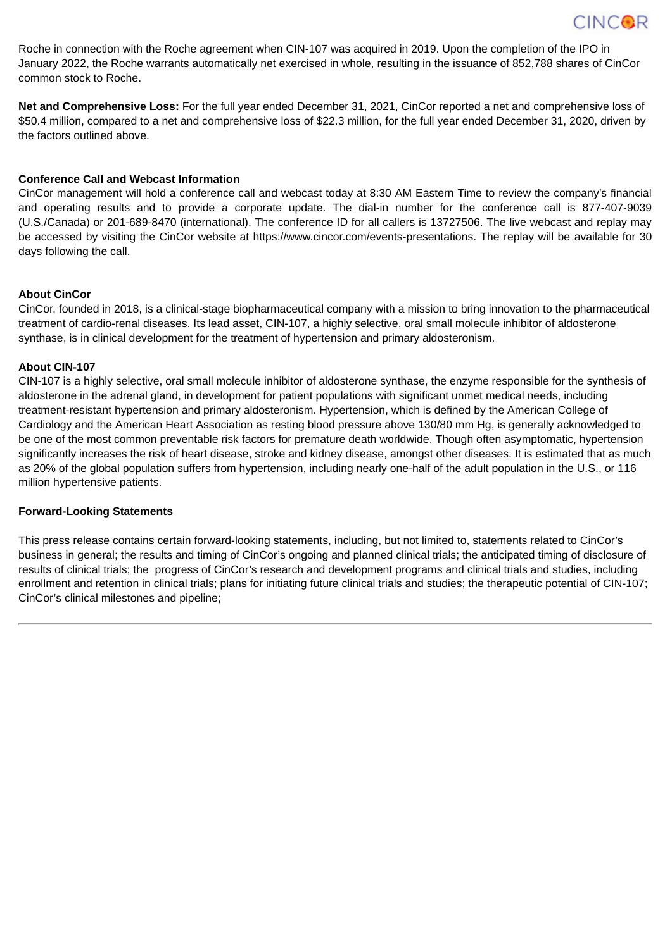

Roche in connection with the Roche agreement when CIN-107 was acquired in 2019. Upon the completion of the IPO in January 2022, the Roche warrants automatically net exercised in whole, resulting in the issuance of 852,788 shares of CinCor common stock to Roche.

**Net and Comprehensive Loss:** For the full year ended December 31, 2021, CinCor reported a net and comprehensive loss of \$50.4 million, compared to a net and comprehensive loss of \$22.3 million, for the full year ended December 31, 2020, driven by the factors outlined above.

#### **Conference Call and Webcast Information**

CinCor management will hold a conference call and webcast today at 8:30 AM Eastern Time to review the company's financial and operating results and to provide a corporate update. The dial-in number for the conference call is 877-407-9039 (U.S./Canada) or 201-689-8470 (international). The conference ID for all callers is 13727506. The live webcast and replay may be accessed by visiting the CinCor website at https://www.cincor.com/events-presentations. The replay will be available for 30 days following the call.

#### **About CinCor**

CinCor, founded in 2018, is a clinical-stage biopharmaceutical company with a mission to bring innovation to the pharmaceutical treatment of cardio-renal diseases. Its lead asset, CIN-107, a highly selective, oral small molecule inhibitor of aldosterone synthase, is in clinical development for the treatment of hypertension and primary aldosteronism.

#### **About CIN-107**

CIN-107 is a highly selective, oral small molecule inhibitor of aldosterone synthase, the enzyme responsible for the synthesis of aldosterone in the adrenal gland, in development for patient populations with significant unmet medical needs, including treatment-resistant hypertension and primary aldosteronism. Hypertension, which is defined by the American College of Cardiology and the American Heart Association as resting blood pressure above 130/80 mm Hg, is generally acknowledged to be one of the most common preventable risk factors for premature death worldwide. Though often asymptomatic, hypertension significantly increases the risk of heart disease, stroke and kidney disease, amongst other diseases. It is estimated that as much as 20% of the global population suffers from hypertension, including nearly one-half of the adult population in the U.S., or 116 million hypertensive patients.

#### **Forward-Looking Statements**

This press release contains certain forward-looking statements, including, but not limited to, statements related to CinCor's business in general; the results and timing of CinCor's ongoing and planned clinical trials; the anticipated timing of disclosure of results of clinical trials; the progress of CinCor's research and development programs and clinical trials and studies, including enrollment and retention in clinical trials; plans for initiating future clinical trials and studies; the therapeutic potential of CIN-107; CinCor's clinical milestones and pipeline;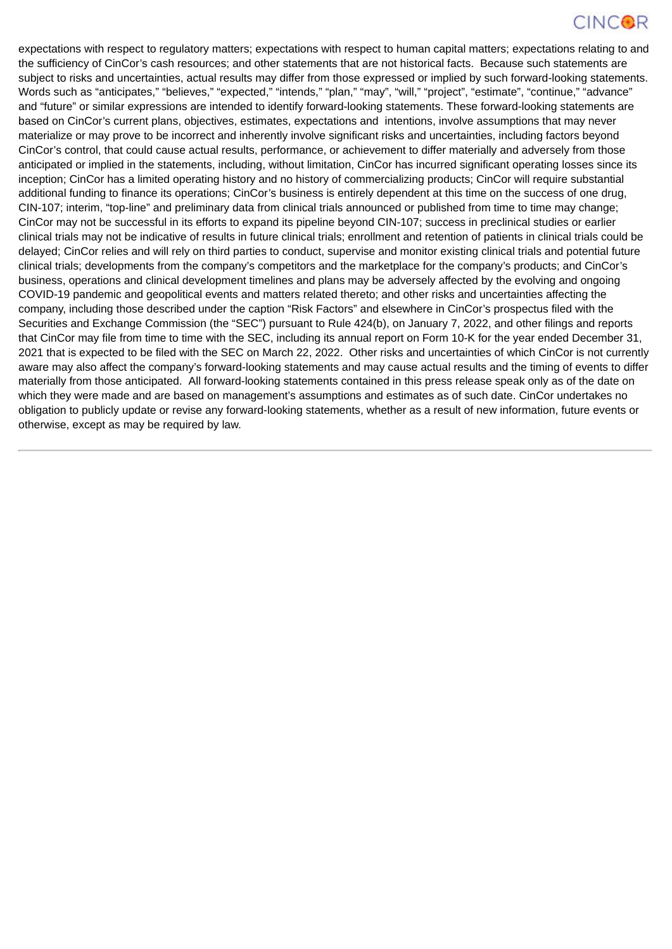## **CINCOR**

expectations with respect to regulatory matters; expectations with respect to human capital matters; expectations relating to and the sufficiency of CinCor's cash resources; and other statements that are not historical facts. Because such statements are subject to risks and uncertainties, actual results may differ from those expressed or implied by such forward-looking statements. Words such as "anticipates," "believes," "expected," "intends," "plan," "may", "will," "project", "estimate", "continue," "advance" and "future" or similar expressions are intended to identify forward-looking statements. These forward-looking statements are based on CinCor's current plans, objectives, estimates, expectations and intentions, involve assumptions that may never materialize or may prove to be incorrect and inherently involve significant risks and uncertainties, including factors beyond CinCor's control, that could cause actual results, performance, or achievement to differ materially and adversely from those anticipated or implied in the statements, including, without limitation, CinCor has incurred significant operating losses since its inception; CinCor has a limited operating history and no history of commercializing products; CinCor will require substantial additional funding to finance its operations; CinCor's business is entirely dependent at this time on the success of one drug, CIN-107; interim, "top-line" and preliminary data from clinical trials announced or published from time to time may change; CinCor may not be successful in its efforts to expand its pipeline beyond CIN-107; success in preclinical studies or earlier clinical trials may not be indicative of results in future clinical trials; enrollment and retention of patients in clinical trials could be delayed; CinCor relies and will rely on third parties to conduct, supervise and monitor existing clinical trials and potential future clinical trials; developments from the company's competitors and the marketplace for the company's products; and CinCor's business, operations and clinical development timelines and plans may be adversely affected by the evolving and ongoing COVID-19 pandemic and geopolitical events and matters related thereto; and other risks and uncertainties affecting the company, including those described under the caption "Risk Factors" and elsewhere in CinCor's prospectus filed with the Securities and Exchange Commission (the "SEC") pursuant to Rule 424(b), on January 7, 2022, and other filings and reports that CinCor may file from time to time with the SEC, including its annual report on Form 10-K for the year ended December 31, 2021 that is expected to be filed with the SEC on March 22, 2022. Other risks and uncertainties of which CinCor is not currently aware may also affect the company's forward-looking statements and may cause actual results and the timing of events to differ materially from those anticipated. All forward-looking statements contained in this press release speak only as of the date on which they were made and are based on management's assumptions and estimates as of such date. CinCor undertakes no obligation to publicly update or revise any forward-looking statements, whether as a result of new information, future events or otherwise, except as may be required by law.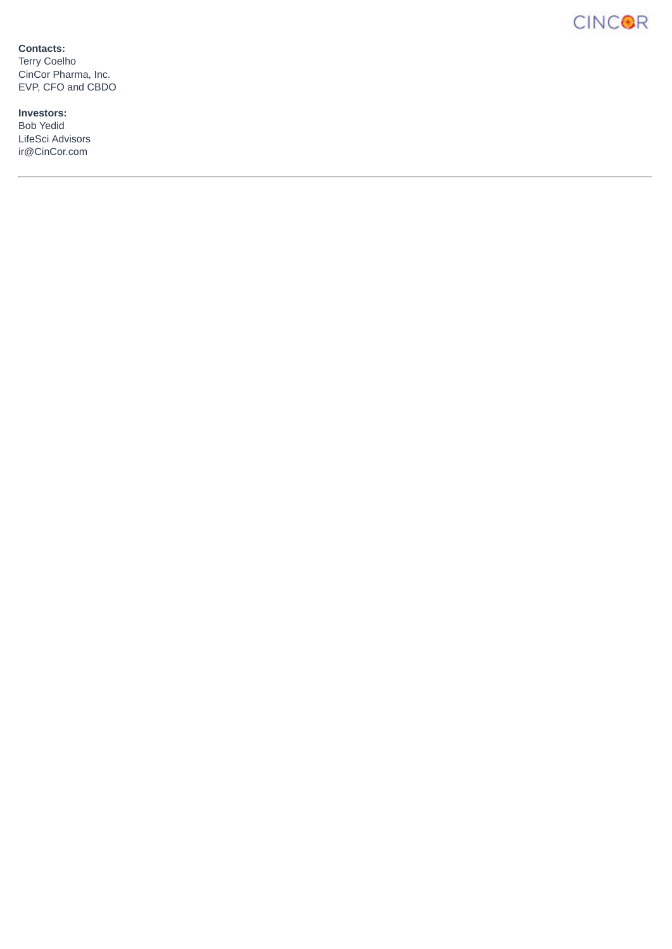**CINCOR** 

**Contacts:**

Terry Coelho CinCor Pharma, Inc. EVP, CFO and CBDO

**Investors:** Bob Yedid LifeSci Advisors ir@CinCor.com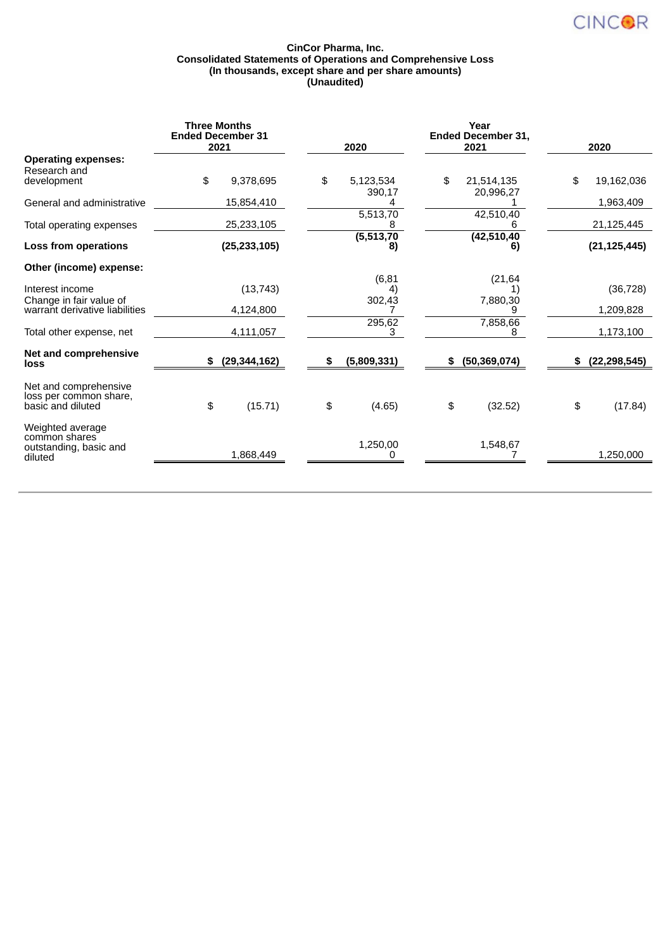

#### **CinCor Pharma, Inc. Consolidated Statements of Operations and Comprehensive Loss (In thousands, except share and per share amounts) (Unaudited)**

|                                                                        | <b>Three Months</b><br><b>Ended December 31</b><br>2021 |                | 2020                    | Year<br><b>Ended December 31,</b><br>2021 | 2020             |
|------------------------------------------------------------------------|---------------------------------------------------------|----------------|-------------------------|-------------------------------------------|------------------|
| <b>Operating expenses:</b><br>Research and<br>development              | \$                                                      | 9,378,695      | \$<br>5,123,534         | \$<br>21,514,135                          | \$<br>19,162,036 |
| General and administrative                                             |                                                         | 15,854,410     | 390,17                  | 20,996,27                                 | 1,963,409        |
| Total operating expenses                                               |                                                         | 25,233,105     | 5,513,70                | 42,510,40<br>h                            | 21,125,445       |
| Loss from operations                                                   |                                                         | (25, 233, 105) | (5, 513, 70)<br>8)      | (42, 510, 40)<br>6)                       | (21, 125, 445)   |
| Other (income) expense:                                                |                                                         |                |                         |                                           |                  |
| Interest income<br>Change in fair value of                             |                                                         | (13, 743)      | (6, 81)<br>4)<br>302,43 | (21, 64)<br>1)<br>7,880,30                | (36, 728)        |
| warrant derivative liabilities                                         |                                                         | 4,124,800      |                         | 9                                         | 1,209,828        |
| Total other expense, net                                               |                                                         | 4,111,057      | 295,62<br>3             | 7,858,66<br>8                             | 1,173,100        |
| Net and comprehensive<br>loss                                          | \$                                                      | (29, 344, 162) | \$<br>(5,809,331)       | \$<br>(50, 369, 074)                      | (22, 298, 545)   |
| Net and comprehensive<br>loss per common share,<br>basic and diluted   | \$                                                      | (15.71)        | \$<br>(4.65)            | \$<br>(32.52)                             | \$<br>(17.84)    |
| Weighted average<br>common shares<br>outstanding, basic and<br>diluted |                                                         | 1,868,449      | 1,250,00                | 1,548,67                                  | 1,250,000        |